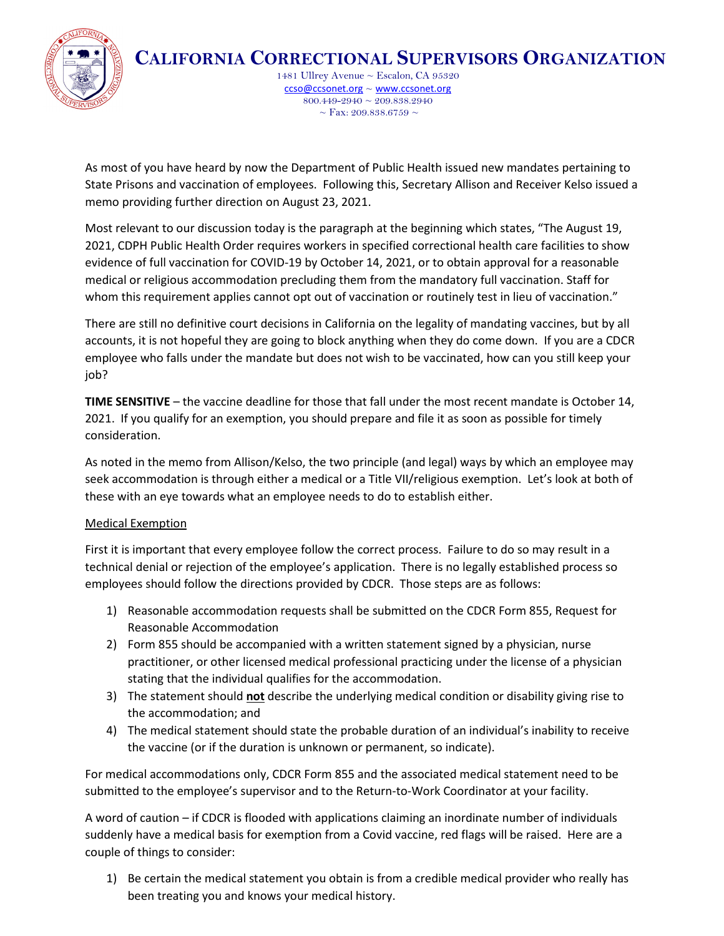

**CALIFORNIA CORRECTIONAL SUPERVISORS ORGANIZATION**

1481 Ullrey Avenue ~ Escalon, CA 95320 [ccso@ccsonet.org](mailto:ccso@ccsonet.org) ~ [www.ccsonet.org](http://www.ccsonet.org/)  $800.449 - 2940 \approx 209.838.2940$  $\sim$  Fax: 209.838.6759  $\sim$ 

As most of you have heard by now the Department of Public Health issued new mandates pertaining to State Prisons and vaccination of employees. Following this, Secretary Allison and Receiver Kelso issued a memo providing further direction on August 23, 2021.

Most relevant to our discussion today is the paragraph at the beginning which states, "The August 19, 2021, CDPH Public Health Order requires workers in specified correctional health care facilities to show evidence of full vaccination for COVID-19 by October 14, 2021, or to obtain approval for a reasonable medical or religious accommodation precluding them from the mandatory full vaccination. Staff for whom this requirement applies cannot opt out of vaccination or routinely test in lieu of vaccination."

There are still no definitive court decisions in California on the legality of mandating vaccines, but by all accounts, it is not hopeful they are going to block anything when they do come down. If you are a CDCR employee who falls under the mandate but does not wish to be vaccinated, how can you still keep your job?

**TIME SENSITIVE** – the vaccine deadline for those that fall under the most recent mandate is October 14, 2021. If you qualify for an exemption, you should prepare and file it as soon as possible for timely consideration.

As noted in the memo from Allison/Kelso, the two principle (and legal) ways by which an employee may seek accommodation is through either a medical or a Title VII/religious exemption. Let's look at both of these with an eye towards what an employee needs to do to establish either.

# Medical Exemption

First it is important that every employee follow the correct process. Failure to do so may result in a technical denial or rejection of the employee's application. There is no legally established process so employees should follow the directions provided by CDCR. Those steps are as follows:

- 1) Reasonable accommodation requests shall be submitted on the CDCR Form 855, Request for Reasonable Accommodation
- 2) Form 855 should be accompanied with a written statement signed by a physician, nurse practitioner, or other licensed medical professional practicing under the license of a physician stating that the individual qualifies for the accommodation.
- 3) The statement should **not** describe the underlying medical condition or disability giving rise to the accommodation; and
- 4) The medical statement should state the probable duration of an individual's inability to receive the vaccine (or if the duration is unknown or permanent, so indicate).

For medical accommodations only, CDCR Form 855 and the associated medical statement need to be submitted to the employee's supervisor and to the Return-to-Work Coordinator at your facility.

A word of caution – if CDCR is flooded with applications claiming an inordinate number of individuals suddenly have a medical basis for exemption from a Covid vaccine, red flags will be raised. Here are a couple of things to consider:

1) Be certain the medical statement you obtain is from a credible medical provider who really has been treating you and knows your medical history.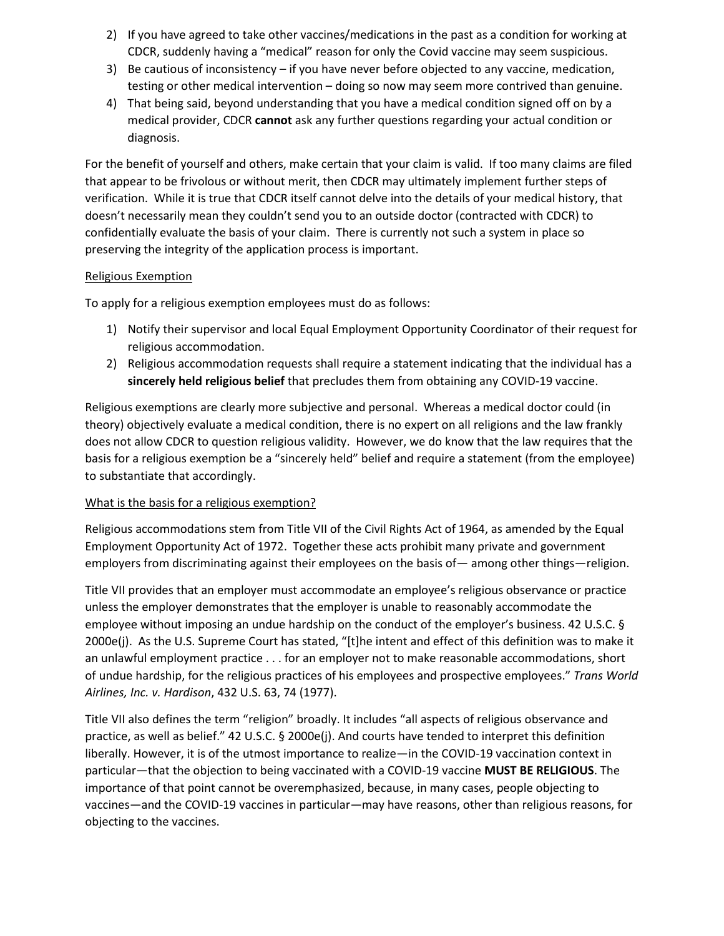- 2) If you have agreed to take other vaccines/medications in the past as a condition for working at CDCR, suddenly having a "medical" reason for only the Covid vaccine may seem suspicious.
- 3) Be cautious of inconsistency if you have never before objected to any vaccine, medication, testing or other medical intervention – doing so now may seem more contrived than genuine.
- 4) That being said, beyond understanding that you have a medical condition signed off on by a medical provider, CDCR **cannot** ask any further questions regarding your actual condition or diagnosis.

For the benefit of yourself and others, make certain that your claim is valid. If too many claims are filed that appear to be frivolous or without merit, then CDCR may ultimately implement further steps of verification. While it is true that CDCR itself cannot delve into the details of your medical history, that doesn't necessarily mean they couldn't send you to an outside doctor (contracted with CDCR) to confidentially evaluate the basis of your claim. There is currently not such a system in place so preserving the integrity of the application process is important.

### Religious Exemption

To apply for a religious exemption employees must do as follows:

- 1) Notify their supervisor and local Equal Employment Opportunity Coordinator of their request for religious accommodation.
- 2) Religious accommodation requests shall require a statement indicating that the individual has a **sincerely held religious belief** that precludes them from obtaining any COVID-19 vaccine.

Religious exemptions are clearly more subjective and personal. Whereas a medical doctor could (in theory) objectively evaluate a medical condition, there is no expert on all religions and the law frankly does not allow CDCR to question religious validity. However, we do know that the law requires that the basis for a religious exemption be a "sincerely held" belief and require a statement (from the employee) to substantiate that accordingly.

# What is the basis for a religious exemption?

Religious accommodations stem from Title VII of the Civil Rights Act of 1964, as amended by the Equal Employment Opportunity Act of 1972. Together these acts prohibit many private and government employers from discriminating against their employees on the basis of— among other things—religion.

Title VII provides that an employer must accommodate an employee's religious observance or practice unless the employer demonstrates that the employer is unable to reasonably accommodate the employee without imposing an undue hardship on the conduct of the employer's business. 42 U.S.C. § 2000e(j). As the U.S. Supreme Court has stated, "[t]he intent and effect of this definition was to make it an unlawful employment practice . . . for an employer not to make reasonable accommodations, short of undue hardship, for the religious practices of his employees and prospective employees." *Trans World Airlines, Inc. v. Hardison*, 432 U.S. 63, 74 (1977).

Title VII also defines the term "religion" broadly. It includes "all aspects of religious observance and practice, as well as belief." 42 U.S.C. § 2000e(j). And courts have tended to interpret this definition liberally. However, it is of the utmost importance to realize—in the COVID-19 vaccination context in particular—that the objection to being vaccinated with a COVID-19 vaccine **MUST BE RELIGIOUS**. The importance of that point cannot be overemphasized, because, in many cases, people objecting to vaccines—and the COVID-19 vaccines in particular—may have reasons, other than religious reasons, for objecting to the vaccines.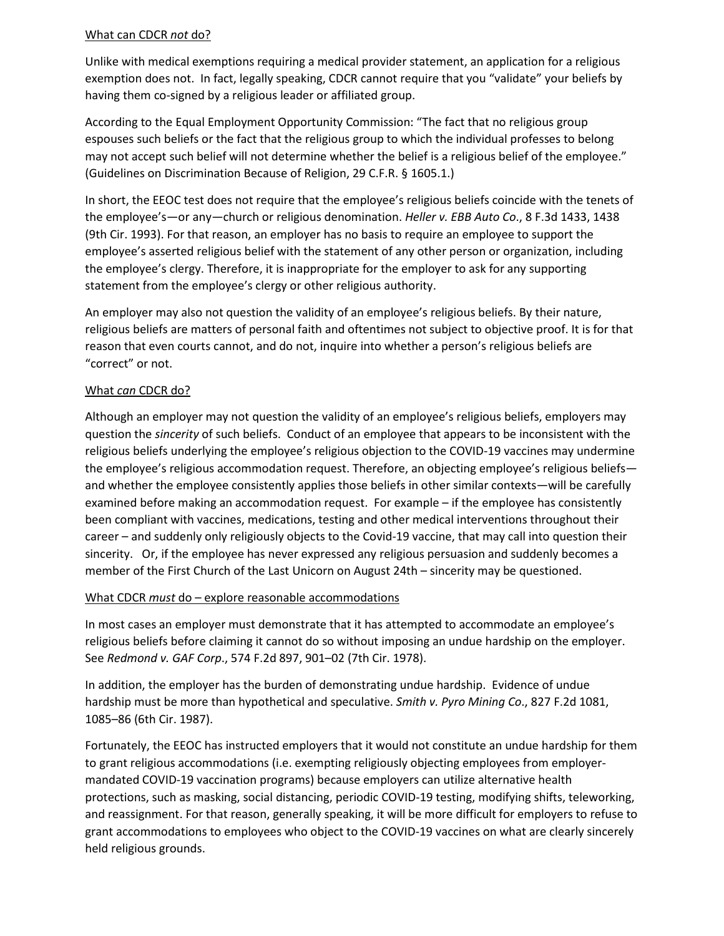#### What can CDCR *not* do?

Unlike with medical exemptions requiring a medical provider statement, an application for a religious exemption does not. In fact, legally speaking, CDCR cannot require that you "validate" your beliefs by having them co-signed by a religious leader or affiliated group.

According to the Equal Employment Opportunity Commission: "The fact that no religious group espouses such beliefs or the fact that the religious group to which the individual professes to belong may not accept such belief will not determine whether the belief is a religious belief of the employee." (Guidelines on Discrimination Because of Religion, 29 C.F.R. § 1605.1.)

In short, the EEOC test does not require that the employee's religious beliefs coincide with the tenets of the employee's—or any—church or religious denomination. *Heller v. EBB Auto Co*., 8 F.3d 1433, 1438 (9th Cir. 1993). For that reason, an employer has no basis to require an employee to support the employee's asserted religious belief with the statement of any other person or organization, including the employee's clergy. Therefore, it is inappropriate for the employer to ask for any supporting statement from the employee's clergy or other religious authority.

An employer may also not question the validity of an employee's religious beliefs. By their nature, religious beliefs are matters of personal faith and oftentimes not subject to objective proof. It is for that reason that even courts cannot, and do not, inquire into whether a person's religious beliefs are "correct" or not.

### What *can* CDCR do?

Although an employer may not question the validity of an employee's religious beliefs, employers may question the *sincerity* of such beliefs. Conduct of an employee that appears to be inconsistent with the religious beliefs underlying the employee's religious objection to the COVID-19 vaccines may undermine the employee's religious accommodation request. Therefore, an objecting employee's religious beliefs and whether the employee consistently applies those beliefs in other similar contexts—will be carefully examined before making an accommodation request. For example – if the employee has consistently been compliant with vaccines, medications, testing and other medical interventions throughout their career – and suddenly only religiously objects to the Covid-19 vaccine, that may call into question their sincerity. Or, if the employee has never expressed any religious persuasion and suddenly becomes a member of the First Church of the Last Unicorn on August 24th – sincerity may be questioned.

#### What CDCR *must* do – explore reasonable accommodations

In most cases an employer must demonstrate that it has attempted to accommodate an employee's religious beliefs before claiming it cannot do so without imposing an undue hardship on the employer. See *Redmond v. GAF Corp*., 574 F.2d 897, 901–02 (7th Cir. 1978).

In addition, the employer has the burden of demonstrating undue hardship. Evidence of undue hardship must be more than hypothetical and speculative. *Smith v. Pyro Mining Co*., 827 F.2d 1081, 1085–86 (6th Cir. 1987).

Fortunately, the EEOC has instructed employers that it would not constitute an undue hardship for them to grant religious accommodations (i.e. exempting religiously objecting employees from employermandated COVID-19 vaccination programs) because employers can utilize alternative health protections, such as masking, social distancing, periodic COVID-19 testing, modifying shifts, teleworking, and reassignment. For that reason, generally speaking, it will be more difficult for employers to refuse to grant accommodations to employees who object to the COVID-19 vaccines on what are clearly sincerely held religious grounds.